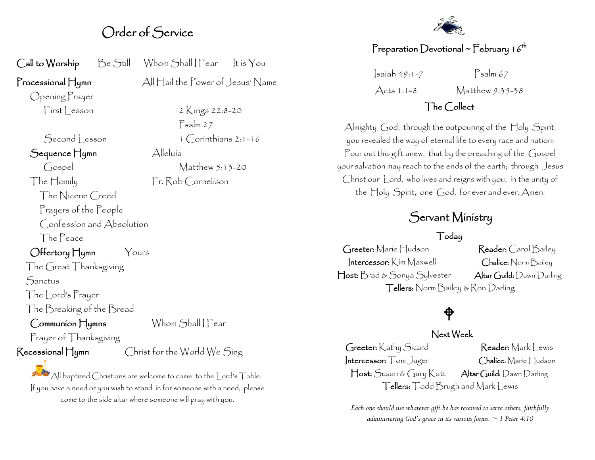### Order of Service

| Call to Worship Be Still               |  | Whom Shall   Fear   It is You   |  |  |
|----------------------------------------|--|---------------------------------|--|--|
| $\Gamma$ rocessional $\prod$ ymn       |  | All Hail the Power of Jesus' Na |  |  |
| Opening Prayer                         |  |                                 |  |  |
| First Lesson                           |  | 2 Kings 22:8-20                 |  |  |
|                                        |  | $P$ salm 27                     |  |  |
| Second Lesson                          |  | $1$ $Coninthians$ 2:1-16        |  |  |
| Sequence Hymn                          |  | Alleluía                        |  |  |
| Gospel                                 |  | Matthew 5:13-20                 |  |  |
| The Homily                             |  | Fr. Rob Cornelison              |  |  |
| The Nicene Creed                       |  |                                 |  |  |
| Prayers of the People                  |  |                                 |  |  |
| Confession and Absolution              |  |                                 |  |  |
| The Peace                              |  |                                 |  |  |
| $\bigcirc$ ffertory $\bigcap$ ymn      |  | Yours                           |  |  |
| The Great Thanksgiving                 |  |                                 |  |  |
| Sanctus                                |  |                                 |  |  |
| The Lord's Prayer                      |  |                                 |  |  |
| The Breaking of the Bread              |  |                                 |  |  |
| Communion Hymns                        |  | Whom Shall   Fear               |  |  |
| Prayer of Thanksgiving                 |  |                                 |  |  |
| $\mathsf{Recessional}\,\mathsf{H}$ ymn |  | Christ for the World We Sing    |  |  |

All baptized Christians are welcome to come to the Lord's Table. If you have a need or you wish to stand in for someone with a need, please come to the side altar where someone will pray with you.

 $b$ wer of Jesus' Name

#### Preparation Devotional ~ February 16<sup>th</sup>

 $\left| \sinh 49:1-7 \right|$   $\left| \cos \theta \right|$ Acts 1:1-8 Matthew 9:35-38

#### The Collect

Almighty God, through the outpouring of the Holy Spirit, you revealed the way of eternal life to every race and nation: Pour out this gift anew, that by the preaching of the Gospel your salvation may reach to the ends of the earth; through Jesus Christ our Lord, who lives and reigns with you, in the unity of the Holy Spirit, one God, for ever and ever. Amen.

### Servant Ministry

#### Today

Greeter: Marie Hudson Reader: Carol Bailey Intercessor: Kim Maxwell Chalice: Norm Bailey Host: Brad & Sonya Sylvester Altar Guild: Dawn Darling Tellers: Norm Bailey & Ron Darling

### $\bigoplus$

#### Next Week

Greeter: Kathy Sicard Reader: Mark Lewis Intercessor: Tom Jager Chalice: Marie Hudson Host: Susan & Gary Katt Altar Guild: Dawn Darling Tellers: Todd Brugh and Mark Lewis

*Each one should use whatever gift he has received to serve others, faithfully administering God's grace in its various forms. ~ 1 Peter 4:10*